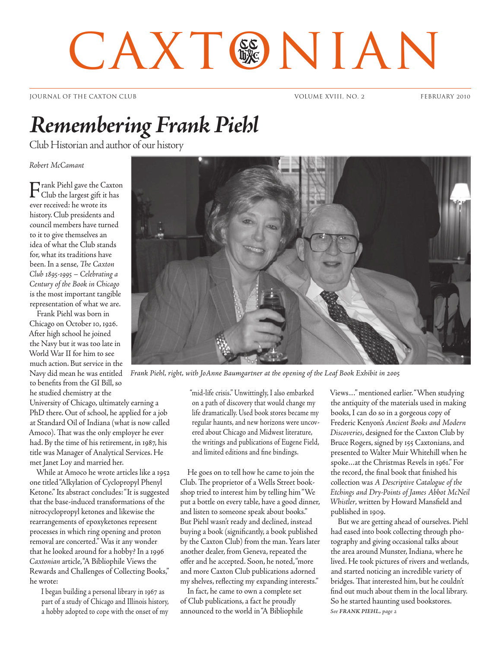# CAXT®NIAN

JOURNAL OF THE CAXTON CLUB VOLUME XVIII, NO. 2 FEBRUARY 2010

# *Remembering Frank Piehl*

Club Historian and author of our history

*Robert McCamant*

Frank Piehl gave the Caxton Club the largest gift it has ever received: he wrote its history. Club presidents and council members have turned to it to give themselves an idea of what the Club stands for, what its traditions have been. In a sense, *The Caxton Club 1895-1995 – Celebrating a Century of the Book in Chicago* is the most important tangible representation of what we are.

Frank Piehl was born in Chicago on October 10, 1926. After high school he joined the Navy but it was too late in World War II for him to see much action. But service in the Navy did mean he was entitled to benefits from the GI Bill, so he studied chemistry at the

University of Chicago, ultimately earning a PhD there. Out of school, he applied for a job at Standard Oil of Indiana (what is now called Amoco). That was the only employer he ever had. By the time of his retirement, in 1987, his title was Manager of Analytical Services. He met Janet Loy and married her.

While at Amoco he wrote articles like a 1952 one titled "Alkylation of Cyclopropyl Phenyl Ketone." Its abstract concludes: "It is suggested that the base-induced transformations of the nitrocyclopropyl ketones and likewise the rearrangements of epoxyketones represent processes in which ring opening and proton removal are concerted." Was it any wonder that he looked around for a hobby? In a 1996 *Caxtonian* article, "A Bibliophile Views the Rewards and Challenges of Collecting Books," he wrote:

I began building a personal library in 1967 as part of a study of Chicago and Illinois history, a hobby adopted to cope with the onset of my



*Frank Piehl, right, with JoAnne Baumgartner at the opening of the Leaf Book Exhibit in 2005*

"mid-life crisis." Unwittingly, I also embarked on a path of discovery that would change my life dramatically. Used book stores became my regular haunts, and new horizons were uncovered about Chicago and Midwest literature, the writings and publications of Eugene Field, and limited editions and fine bindings.

He goes on to tell how he came to join the Club. The proprietor of a Wells Street bookshop tried to interest him by telling him "We put a bottle on every table, have a good dinner, and listen to someone speak about books." But Piehl wasn't ready and declined, instead buying a book (significantly, a book published by the Caxton Club) from the man. Years later another dealer, from Geneva, repeated the offer and he accepted. Soon, he noted, "more and more Caxton Club publications adorned my shelves, reflecting my expanding interests."

In fact, he came to own a complete set of Club publications, a fact he proudly announced to the world in "A Bibliophile Views..." mentioned earlier. "When studying the antiquity of the materials used in making books, I can do so in a gorgeous copy of Frederic Kenyon's *Ancient Books and Modern Discoveries*, designed for the Caxton Club by Bruce Rogers, signed by 155 Caxtonians, and presented to Walter Muir Whitehill when he spoke...at the Christmas Revels in 1961." For the record, the final book that finished his collection was *A Descriptive Catalogue of the Etchings and Dry-Points of James Abbot McNeil Whistler*, written by Howard Mansfield and published in 1909.

But we are getting ahead of ourselves. Piehl had eased into book collecting through photography and giving occasional talks about the area around Munster, Indiana, where he lived. He took pictures of rivers and wetlands, and started noticing an incredible variety of bridges. That interested him, but he couldn't find out much about them in the local library. So he started haunting used bookstores. *See FRANK PIEHL, page 2*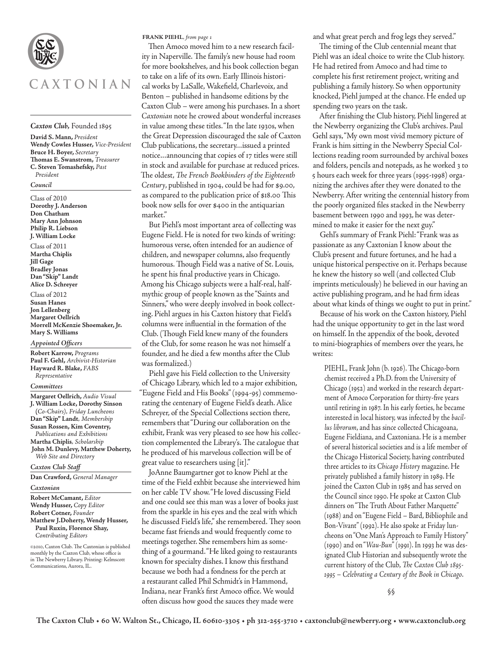

#### *Caxton Club,* Founded 1895

**David S. Mann,** *President* **Wendy Cowles Husser,** *Vice-President* **Bruce H. Boyer,** *Secretary* **Thomas E. Swanstrom,** *Treasurer* **C. Steven Tomashefsky,** *Past President*

#### *Council*

Class of 2010 **Dorothy J. Anderson Don Chatham Mary Ann Johnson Philip R. Liebson J. William Locke**

Class of 2011 **Martha Chiplis Jill Gage Bradley Jonas Dan "Skip" Landt Alice D. Schreyer**

Class of 2012 **Susan Hanes Jon Lellenberg Margaret Oellrich Morrell McKenzie Shoemaker, Jr. Mary S. Williams**

*Appointed Officers*

**Robert Karrow,** *Programs* **Paul F. Gehl,** *Archivist-Historian* **Hayward R. Blake,** *FABS Representative*

#### *Committees*

**Margaret Oellrich,** *Audio Visual* **J. William Locke, Dorothy Sinson (***Co-Chairs), Friday Luncheons* **Dan "Skip" Landt***, Membership* **Susan Rossen, Kim Coventry,**  *Publications and Exhibitions* **Martha Chiplis***, Scholarship*  **John M. Dunlevy, Matthew Doherty,**  *Web Site and Directory*

*Caxton Club Staff*

**Dan Crawford,** *General Manager*

*Caxtonian*

**Robert McCamant,** *Editor* **Wendy Husser,** *Copy Editor* **Robert Cotner,** *Founder* **Matthew J.Doherty, Wendy Husser, Paul Ruxin, Florence Shay,**  *Contributing Editors*

©2010, Caxton Club. The Caxtonian is published monthly by the Caxton Club, whose office is in The Newberry Library. Printing: Kelmscott Communications, Aurora, IL.

**FRANK PIEHL***, from page 1*

Then Amoco moved him to a new research facility in Naperville. The family's new house had room for more bookshelves, and his book collection began to take on a life of its own. Early Illinois historical works by LaSalle, Wakefield, Charlevoix, and Benton – published in handsome editions by the Caxton Club – were among his purchases. In a short *Caxtonian* note he crowed about wonderful increases in value among these titles. "In the late 1930s, when the Great Depression discouraged the sale of Caxton Club publications, the secretary...issued a printed notice...announcing that copies of 17 titles were still in stock and available for purchase at reduced prices. The oldest, *The French Bookbinders of the Eighteenth Century*, published in 1904, could be had for \$9.00, as compared to the publication price of \$18.00 This book now sells for over \$400 in the antiquarian market."

But Piehl's most important area of collecting was Eugene Field. He is noted for two kinds of writing: humorous verse, often intended for an audience of children, and newspaper columns, also frequently humorous. Though Field was a native of St. Louis, he spent his final productive years in Chicago. Among his Chicago subjects were a half-real, halfmythic group of people known as the "Saints and Sinners," who were deeply involved in book collecting. Piehl argues in his Caxton history that Field's columns were influential in the formation of the Club. (Though Field knew many of the founders of the Club, for some reason he was not himself a founder, and he died a few months after the Club was formalized.)

Piehl gave his Field collection to the University of Chicago Library, which led to a major exhibition, "Eugene Field and His Books" (1994-95) commemorating the centenary of Eugene Field's death. Alice Schreyer, of the Special Collections section there, remembers that "During our collaboration on the exhibit, Frank was very pleased to see how his collection complemented the Library's. The catalogue that he produced of his marvelous collection will be of great value to researchers using [it]."

JoAnne Baumgartner got to know Piehl at the time of the Field exhbit because she interviewed him on her cable TV show. "He loved discussing Field and one could see this man was a lover of books just from the sparkle in his eyes and the zeal with which he discussed Field's life," she remembered. They soon became fast friends and would frequently come to meetings together. She remembers him as something of a gourmand. "He liked going to restaurants known for specialty dishes. I know this firsthand because we both had a fondness for the perch at a restaurant called Phil Schmidt's in Hammond, Indiana, near Frank's first Amoco office. We would often discuss how good the sauces they made were

and what great perch and frog legs they served."

The timing of the Club centennial meant that Piehl was an ideal choice to write the Club history. He had retired from Amoco and had time to complete his first retirement project, writing and publishing a family history. So when opportunity knocked, Piehl jumped at the chance. He ended up spending two years on the task.

After finishing the Club history, Piehl lingered at the Newberry organizing the Club's archives. Paul Gehl says, "My own most vivid memory picture of Frank is him sitting in the Newberry Special Collections reading room surrounded by archival boxes and folders, pencils and notepads, as he worked 3 to 5 hours each week for three years (1995-1998) organizing the archives after they were donated to the Newberry. After writing the centennial history from the poorly organized files stacked in the Newberry basement between 1990 and 1993, he was determined to make it easier for the next guy."

Gehl's summary of Frank Piehl: "Frank was as passionate as any Caxtonian I know about the Club's present and future fortunes, and he had a unique historical perspective on it. Perhaps because he knew the history so well (and collected Club imprints meticulously) he believed in our having an active publishing program, and he had firm ideas about what kinds of things we ought to put in print."

Because of his work on the Caxton history, Piehl had the unique opportunity to get in the last word on himself. In the appendix of the book, devoted to mini-biographies of members over the years, he writes:

PIEHL, Frank John (b. 1926). The Chicago-born chemist received a Ph.D. from the University of Chicago (1952) and worked in the research department of Amoco Corporation for thirty-five years until retiring in 1987. In his early forties, he became interested in local history, was infected by the *bacillus librorum*, and has since collected Chicagoana, Eugene Fieldiana, and Caxtoniana. He is a member of several historical societies and is a life member of the Chicago Historical Society, having contributed three articles to its *Chicago History* magazine. He privately published a family history in 1989. He joined the Caxton Club in 1985 and has served on the Council since 1990. He spoke at Caxton Club dinners on "The Truth About Father Marquette" (1988) and on "Eugene Field – Bard, Bibliophile and Bon-Vivant" (1992). He also spoke at Friday luncheons on "One Man's Approach to Family History" (1990) and on "*Wau-Bun*" (1991). In 1993 he was designated Club Historian and subsequently wrote the current history of the Club, *The Caxton Club 1895- 1995 – Celebrating a Century of the Book in Chicago*.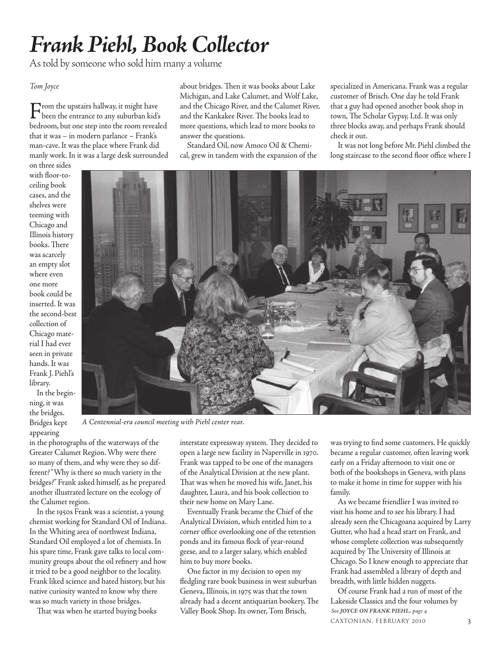# *Frank Piehl, Book Collector*

As told by someone who sold him many a volume

### *Tom Joyce*

From the upstairs hallway, it might have been the entrance to any suburban kid's bedroom, but one step into the room revealed that it was – in modern parlance – Frank's man-cave. It was the place where Frank did manly work. In it was a large desk surrounded

on three sides with floor-toceiling book cases, and the shelves were teeming with Chicago and Illinois history books. There was scarcely an empty slot where even one more book could be inserted. It was collection of Chicago material I had ever seen in private hands. It was Frank J. Piehl's library.

In the beginning, it was the bridges. Bridges kept appearing

about bridges. Then it was books about Lake Michigan, and Lake Calumet, and Wolf Lake, and the Chicago River, and the Calumet River, and the Kankakee River. The books lead to more questions, which lead to more books to answer the questions.

Standard Oil, now Amoco Oil & Chemical, grew in tandem with the expansion of the specialized in Americana. Frank was a regular customer of Brisch. One day he told Frank that a guy had opened another book shop in town, The Scholar Gypsy, Ltd. It was only three blocks away, and perhaps Frank should check it out.

It was not long before Mr. Piehl climbed the long staircase to the second floor office where I



*A Centennial-era council meeting with Piehl center rear.*

in the photographs of the waterways of the Greater Calumet Region. Why were there so many of them, and why were they so different? "Why is there so much variety in the bridges?" Frank asked himself, as he prepared another illustrated lecture on the ecology of the Calumet region.

In the 1950s Frank was a scientist, a young chemist working for Standard Oil of Indiana. In the Whiting area of northwest Indiana, Standard Oil employed a lot of chemists. In his spare time, Frank gave talks to local community groups about the oil refinery and how it tried to be a good neighbor to the locality. Frank liked science and hated history, but his native curiosity wanted to know why there was so much variety in those bridges.

interstate expressway system. They decided to open a large new facility in Naperville in 1970. Frank was tapped to be one of the managers of the Analytical Division at the new plant. That was when he moved his wife, Janet, his daughter, Laura, and his book collection to their new home on Mary Lane.

Eventually Frank became the Chief of the Analytical Division, which entitled him to a corner office overlooking one of the retention ponds and its famous flock of year-round geese, and to a larger salary, which enabled him to buy more books.

That was when he started buying books *See JOYCE ON FRANK PIEHL, page 4* Valley Book Shop. Its owner, Tom Brisch, One factor in my decision to open my fledgling rare book business in west suburban Geneva, Illinois, in 1975 was that the town already had a decent antiquarian bookery, The

was trying to find some customers. He quickly became a regular customer, often leaving work early on a Friday afternoon to visit one or both of the bookshops in Geneva, with plans to make it home in time for supper with his family.

As we became friendlier I was invited to visit his home and to see his library. I had already seen the Chicagoana acquired by Larry Gutter, who had a head start on Frank, and whose complete collection was subsequently acquired by The University of Illinois at Chicago. So I knew enough to appreciate that Frank had assembled a library of depth and breadth, with little hidden nuggets.

CAXTONIAN, FEBRUARY 2010 3 Of course Frank had a run of most of the Lakeside Classics and the four volumes by

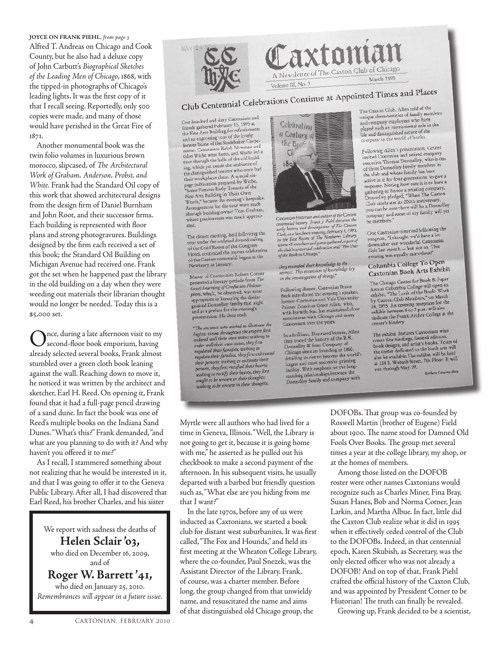Alfred T. Andreas on Chicago and Cook County, but he also had a deluxe copy of John Carbutt's *Biographical Sketches of the Leading Men of Chicago*, 1868, with the tipped-in photographs of Chicago's leading lights. It was the first copy of it that I recall seeing. Reportedly, only 500 copies were made, and many of those would have perished in the Great Fire of 1871. **JOYCE ON FRANK PIEHL***, from page 3*

Another monumental book was the twin folio volumes in luxurious brown morocco, slipcased, of *The Architectural Work of Graham, Anderson, Probst, and White.* Frank had the Standard Oil copy of this work that showed architectural designs from the design firm of Daniel Burnham and John Root, and their successor firms. Each building is represented with floor plans and strong photogravures. Buildings designed by the firm each received a set of this book; the Standard Oil Building on Michigan Avenue had received one. Frank got the set when he happened past the library in the old building on a day when they were weeding out materials their librarian thought would no longer be needed. Today this is a \$5,000 set.

nce, during a late afternoon visit to my second-floor book emporium, having already selected several books, Frank almost stumbled over a green cloth book leaning against the wall. Reaching down to move it, he noticed it was written by the architect and sketcher, Earl H. Reed. On opening it, Frank found that it had a full-page pencil drawing of a sand dune. In fact the book was one of Reed's multiple books on the Indiana Sand Dunes. "What's this?" Frank demanded, "and what are you planning to do with it? And why haven't you offered it to me?"

As I recall, I stammered something about not realizing that he would be interested in it, and that I was going to offer it to the Geneva Public Library. After all, I had discovered that Earl Reed, his brother Charles, and his sister

We report with sadness the deaths of **Helen Sclair 'o3,** who died on December 16, 2009, and of

**Roger W. Barrett '41,**

who died on January 25, 2010. *Remembrances will appear in a future issue.*



One hundred and sixty Caxtonians and One hundred and sixty Caxtonians<br>friends gathered February 15, 1995 at friends gathered February 15, 1999 at<br>the Fine Arts Building for refreshments the Fine Arts Building for retreshment<br>and an engrossing tour of the lovely<br>former home of the Studebaker Corps<br>retion. Caxtonians Ralph Newman an former home of the Studebaker Corpo-<br>ration. Caxtonians Ralph Newman and<br>Glap Wiche were hosts, and Wiche led ration. Caxtonians Naiph New Wiche led a<br>Glen Wiche were hosts, and Wiche led a Glen Wiche were hosts, and with the tour through the halls of the old bunding<br>ing, which yet exude the ambiance of<br>the distinguished tenants who once had<br>the distinguished tenants who special sixthe distinguished tenants who we<br>their workplaces there. A special six-<br>page publication prepared by Wiche,<br>"Some Famous Early Tenants of the<br>"Some Famous Early Tenants of the "Some Pamous Early Team<br>Fine Arts Building in Their Own Fine Arts Building in Their Comparent Words," became the evening a help through building owner Tom Graham, through building owner Tome<br>whose graciousness was much appreci-

The dinner meeting, held following the The dinner meeting, held tonowing tour under the sculpted domed century<br>of the Gold Room of the Congress<br>Hotel, continued the joyous celebration<br>of the Caxton centernial begun at the Newberry in January.

Master of Ceremonies Robert Cotner Master of Ceremonies Robert Communication<br>Great Learning of Confucian Philoso-<br>phers, which, he observed, was most<br>phers, which, he observed, was most phers, which, he observed, when the distin-<br>appropriate in honoring the distinshed Donnelley family that night and as a preface for the evening's presentation. He then read:

"The ancients who wished to illustrate the "The ancients who wished to unstruct highest virtue throughout the empire order well their own states, they first order well their families; wishing to regulated their families, wishing<br>regulate their families, they first cultivated regulate their families, we filterate their their persons; wishing to cuttoute bearts;<br>persons, they first rectified their hearts; persons, they first rectify their hearts, they first sought to be sincere in their though wishing to be sincere in their thoughts,



n Historian and author of the Caxton Caxtonian Historian and author of the Caxton<br>centermial history Frank J. Piehl discuss the<br>early history and development of The Caxton<br>early history and development of The Caxton<br>in the East Room of The Newberry Library,<br> of the Book in Chicago.

they extended their knowledge to the<br>utmost. This extension of knowledge lay<br>in the investigation of things."

Following dinner, Caxtonian Bruce<br>Beck introduced the evening's speaker, Beck introduced the evening of the University former Caxtonian and Yale University<br>Printer Emeritus Greer Allen, who,<br>with his wife Sue, has maintained close<br>weggining with Chicago and many associations with Chicago and many Caxtonians over the years.

In a brilliant, illustrated lecture, Allen then traced the history of the R.R. Donnelley & Sons Company of Chicago since its founding in 1860, Chicago since its founding in 1860,<br>detailing its rise to become the world's largest and most successful printing largest and most successful printing<br>facility. With emphasis on the long-<br>standing relationships between the standing relationships because

The Caxton Club, Allen told of the The Caxton Club, Allen told of the<br>unique characteristics of family members unique characteristics of fainty measured<br>and company employees who have<br>played such an instrumental role in the played such an instrumental fole in<br>life and distinguished nature of the<br>company in the world of books.

Following Allen's presentation, Cotner<br>invited Caxtonian and retired company invited Caxtonian and retried comprisone of three Donnelley family me embers in of three Donnelley lainly has been<br>the club and whose family has been the club and whose tanny the stop give a<br>active in it for four generations, to give a active in it for four generations, to give a<br>response. Noting how rare it is to have a<br>there to honor a printing company, response. Noting now rate to the Caxton gathering to honor a printing comparison<br>Donnelley pledged, "When The Caxton<br>Club celebrates its 200th anniversary, Club celebrates its 200th anniversary,<br>you can be sure there will be a Donnelley<br>you can be sure there will be a Donnelley you can be sure there will be a Dominary<br>company and some of my family will yet be members."

One Caxtonian observed following the One Caxtonian observed tone a letprogram, "I thought we differential<br>down after our wonderful Centennial down after our wonderful so. This Gala last month - but here of

Columbia College To Open Columbia College 10 Open

The Chicago Center for Book & Paper<br>The Chicago Center for Book & Paper The Chicago Center for Book & Apple<br>Arts at Columbia College will open an<br>exhibit, "The Look of the Book: Work exhibit, "The Look of the book."<br>by Caxton Club Members," on March by Caxton Club Members," on March<br>24, 1995. An opening reception for the<br>exhibit between 5 to 7 p.m. will also<br>dedicate the Frank Archer College at the<br>dedicate the Frank Archer College at the center's bindery.

The exhibit features Caxtonians who The exhibit features Caxtonians who<br>create fine bindings, limited editions,<br>book designs, and artist's books. Tours of<br>the center dedicated to the book arts will<br>the the sendichle The exhibit will be held the center dedicated to the book arts will<br>also be available. The exhibit will be held also be available. The exhibit will be need at 218 S. Wabash Stre

Barbara Lazarus Metz

Myrtle were all authors who had lived for a time in Geneva, Illinois. "Well, the Library is not going to get it, because it is going home with me," he asserted as he pulled out his checkbook to make a second payment of the afternoon. In his subsequent visits, he usually departed with a barbed but friendly question such as, "What else are you hiding from me that I want?"

In the late 1970s, before any of us were inducted as Caxtonians, we started a book club for distant west suburbanites. It was first called, "The Fox and Hounds," and held its first meeting at the Wheaton College Library, where the co-founder, Paul Snezek, was the Assistant Director of the Library. Frank, of course, was a charter member. Before long, the group changed from that unwieldy name, and resuscitated the name and aims of that distinguished old Chicago group, the

DOFOBs. That group was co-founded by Roswell Martin (brother of Eugene) Field about 1900. The name stood for Damned Old Fools Over Books. The group met several times a year at the college library, my shop, or at the homes of members.

Among those listed on the DOFOB roster were other names Caxtonians would recognize such as Charles Miner, Fina Bray, Susan Hanes, Bob and Norma Cotner, Jean Larkin, and Martha Albue. In fact, little did the Caxton Club realize what it did in 1995 when it effectively ceded control of the Club to the DOFOBs. Indeed, in that centennial epoch, Karen Skubish, as Secretary, was the only elected officer who was not already a DOFOB! And on top of that, Frank Piehl crafted the official history of the Caxton Club, and was appointed by President Cotner to be Historian! The truth can finally be revealed.

Growing up, Frank decided to be a scientist,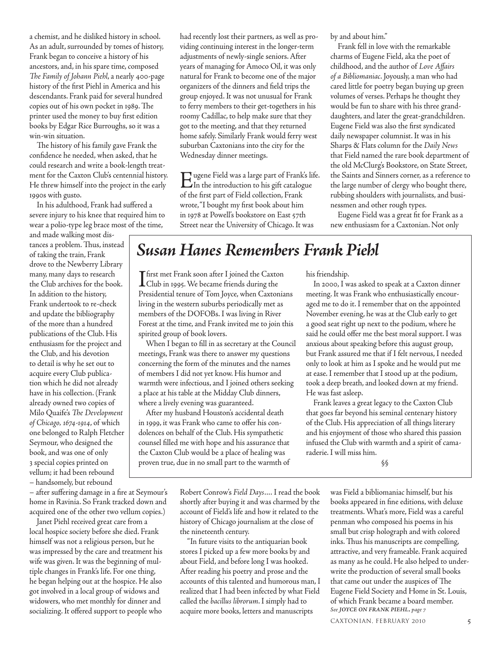a chemist, and he disliked history in school. As an adult, surrounded by tomes of history, Frank began to conceive a history of his ancestors, and, in his spare time, composed *The Family of Johann Piehl*, a nearly 400-page history of the first Piehl in America and his descendants. Frank paid for several hundred copies out of his own pocket in 1989. The printer used the money to buy first edition books by Edgar Rice Burroughs, so it was a win-win situation.

The history of his family gave Frank the confidence he needed, when asked, that he could research and write a book-length treatment for the Caxton Club's centennial history. He threw himself into the project in the early 1990s with gusto.

In his adulthood, Frank had suffered a severe injury to his knee that required him to wear a polio-type leg brace most of the time,

and made walking most distances a problem. Thus, instead of taking the train, Frank drove to the Newberry Library many, many days to research the Club archives for the book. In addition to the history, Frank undertook to re-check and update the bibliography of the more than a hundred publications of the Club. His enthusiasm for the project and the Club, and his devotion to detail is why he set out to acquire every Club publication which he did not already have in his collection. (Frank already owned two copies of Milo Quaife's *The Development of Chicago, 1674-1914*, of which one belonged to Ralph Fletcher Seymour, who designed the book, and was one of only 3 special copies printed on vellum; it had been rebound – handsomely, but rebound

– after suffering damage in a fire at Seymour's home in Ravinia. So Frank tracked down and acquired one of the other two vellum copies.)

Janet Piehl received great care from a local hospice society before she died. Frank himself was not a religious person, but he was impressed by the care and treatment his wife was given. It was the beginning of multiple changes in Frank's life. For one thing, he began helping out at the hospice. He also got involved in a local group of widows and widowers, who met monthly for dinner and socializing. It offered support to people who

had recently lost their partners, as well as providing continuing interest in the longer-term adjustments of newly-single seniors. After years of managing for Amoco Oil, it was only natural for Frank to become one of the major organizers of the dinners and field trips the group enjoyed. It was not unusual for Frank to ferry members to their get-togethers in his roomy Cadillac, to help make sure that they got to the meeting, and that they returned home safely. Similarly Frank would ferry west suburban Caxtonians into the city for the Wednesday dinner meetings.

Eugene Field was a large part of Frank's life. In the introduction to his gift catalogue of the first part of Field collection, Frank wrote, "I bought my first book about him in 1978 at Powell's bookstore on East 57th Street near the University of Chicago. It was

by and about him."

Frank fell in love with the remarkable charms of Eugene Field, aka the poet of childhood, and the author of *Love Affairs of a Bibliomaniac*. Joyously, a man who had cared little for poetry began buying up green volumes of verses. Perhaps he thought they would be fun to share with his three granddaughters, and later the great-grandchildren. Eugene Field was also the first syndicated daily newspaper columnist. It was in his Sharps & Flats column for the *Daily News* that Field named the rare book department of the old McClurg's Bookstore, on State Street, the Saints and Sinners corner, as a reference to the large number of clergy who bought there, rubbing shoulders with journalists, and businessmen and other rough types.

Eugene Field was a great fit for Frank as a new enthusiasm for a Caxtonian. Not only

# *Susan Hanes Remembers Frank Piehl*

 $\mathsf T$ first met Frank soon after I joined the Caxton Club in 1995. We became friends during the Presidential tenure of Tom Joyce, when Caxtonians living in the western suburbs periodically met as members of the DOFOBs. I was living in River Forest at the time, and Frank invited me to join this spirited group of book lovers.

When I began to fill in as secretary at the Council meetings, Frank was there to answer my questions concerning the form of the minutes and the names of members I did not yet know. His humor and warmth were infectious, and I joined others seeking a place at his table at the Midday Club dinners, where a lively evening was guaranteed.

After my husband Houston's accidental death in 1999, it was Frank who came to offer his condolences on behalf of the Club. His sympathetic counsel filled me with hope and his assurance that the Caxton Club would be a place of healing was proven true, due in no small part to the warmth of his friendship.

In 2000, I was asked to speak at a Caxton dinner meeting. It was Frank who enthusiastically encouraged me to do it. I remember that on the appointed November evening, he was at the Club early to get a good seat right up next to the podium, where he said he could offer me the best moral support. I was anxious about speaking before this august group, but Frank assured me that if I felt nervous, I needed only to look at him as I spoke and he would put me at ease. I remember that I stood up at the podium, took a deep breath, and looked down at my friend. He was fast asleep.

Frank leaves a great legacy to the Caxton Club that goes far beyond his seminal centenary history of the Club. His appreciation of all things literary and his enjoyment of those who shared this passion infused the Club with warmth and a spirit of camaraderie. I will miss him.

§§

Robert Conrow's *Field Days*.... I read the book shortly after buying it and was charmed by the account of Field's life and how it related to the history of Chicago journalism at the close of the nineteenth century.

"In future visits to the antiquarian book stores I picked up a few more books by and about Field, and before long I was hooked. After reading his poetry and prose and the accounts of this talented and humorous man, I realized that I had been infected by what Field called the *bacillus librorum*. I simply had to acquire more books, letters and manuscripts

was Field a bibliomaniac himself, but his books appeared in fine editions, with deluxe treatments. What's more, Field was a careful penman who composed his poems in his small but crisp holograph and with colored inks. Thus his manuscripts are compelling, attractive, and very frameable. Frank acquired as many as he could. He also helped to underwrite the production of several small books that came out under the auspices of The Eugene Field Society and Home in St. Louis, of which Frank became a board member. *See JOYCE ON FRANK PIEHL, page 7*

CAXTONIAN, FEBRUARY 2010 5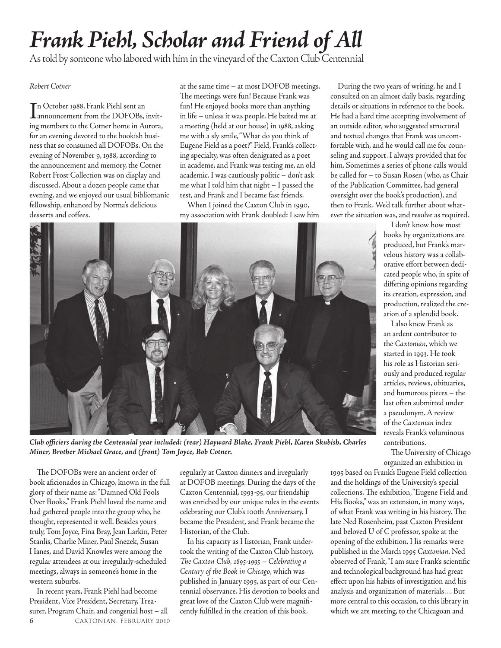# *Frank Piehl, Scholar and Friend of All*

As told by someone who labored with him in the vineyard of the Caxton Club Centennial

### *Robert Cotner*

I n October 1988, Frank Piehl sent an announcement from the DOFOBs, inviting members to the Cotner home in Aurora, for an evening devoted to the bookish business that so consumed all DOFOBs. On the evening of November 9, 1988, according to the announcement and memory, the Cotner Robert Frost Collection was on display and discussed. About a dozen people came that evening, and we enjoyed our usual bibliomanic fellowship, enhanced by Norma's delicious desserts and coffees.

at the same time – at most DOFOB meetings. The meetings were fun! Because Frank was fun! He enjoyed books more than anything in life – unless it was people. He baited me at a meeting (held at our house) in 1988, asking me with a sly smile, "What do you think of Eugene Field as a poet?" Field, Frank's collecting specialty, was often denigrated as a poet in academe, and Frank was testing me, an old academic. I was cautiously politic – don't ask me what I told him that night – I passed the test, and Frank and I became fast friends.

When I joined the Caxton Club in 1990, my association with Frank doubled: I saw him

During the two years of writing, he and I consulted on an almost daily basis, regarding details or situations in reference to the book. He had a hard time accepting involvement of an outside editor, who suggested structural and textual changes that Frank was uncomfortable with, and he would call me for counseling and support. I always provided that for him. Sometimes a series of phone calls would be called for – to Susan Rosen (who, as Chair of the Publication Committee, had general oversight over the book's production), and then to Frank. We'd talk further about whatever the situation was, and resolve as required.

> I don't know how most books by organizations are produced, but Frank's marvelous history was a collaborative effort between dedicated people who, in spite of differing opinions regarding its creation, expression, and production, realized the creation of a splendid book.

I also knew Frank as an ardent contributor to the *Caxtonian*, which we started in 1993. He took his role as Historian seriously and produced regular articles, reviews, obituaries, and humorous pieces – the last often submitted under a pseudonym. A review of the *Caxtonian* index reveals Frank's voluminous contributions.

The University of Chicago organized an exhibition in

1995 based on Frank's Eugene Field collection and the holdings of the University's special collections. The exhibition, "Eugene Field and His Books," was an extension, in many ways, of what Frank was writing in his history. The late Ned Rosenheim, past Caxton President and beloved U of C professor, spoke at the opening of the exhibition. His remarks were published in the March 1995 *Caxtonian*. Ned observed of Frank, "I am sure Frank's scientific and technological background has had great effect upon his habits of investigation and his analysis and organization of materials.... But more central to this occasion, to this library in which we are meeting, to the Chicagoan and



*Club officiers during the Centennial year included: (rear) Hayward Blake, Frank Piehl, Karen Skubish, Charles Miner, Brother Michael Grace, and (front) Tom Joyce, Bob Cotner.*

The DOFOBs were an ancient order of book aficionados in Chicago, known in the full glory of their name as: "Damned Old Fools Over Books." Frank Piehl loved the name and had gathered people into the group who, he thought, represented it well. Besides yours truly, Tom Joyce, Fina Bray, Jean Larkin, Peter Stanlis, Charlie Miner, Paul Snezek, Susan Hanes, and David Knowles were among the regular attendees at our irregularly-scheduled meetings, always in someone's home in the western suburbs.

6 CAXTONIAN, FEBRUARY <sup>2010</sup> In recent years, Frank Piehl had become President, Vice President, Secretary, Treasurer, Program Chair, and congenial host – all

regularly at Caxton dinners and irregularly at DOFOB meetings. During the days of the Caxton Centennial, 1993-95, our friendship was enriched by our unique roles in the events celebrating our Club's 100th Anniversary. I became the President, and Frank became the Historian, of the Club.

In his capacity as Historian, Frank undertook the writing of the Caxton Club history, *The Caxton Club, 1895-1995 – Celebrating a Century of the Book in Chicago*, which was published in January 1995, as part of our Centennial observance. His devotion to books and great love of the Caxton Club were magnificently fulfilled in the creation of this book.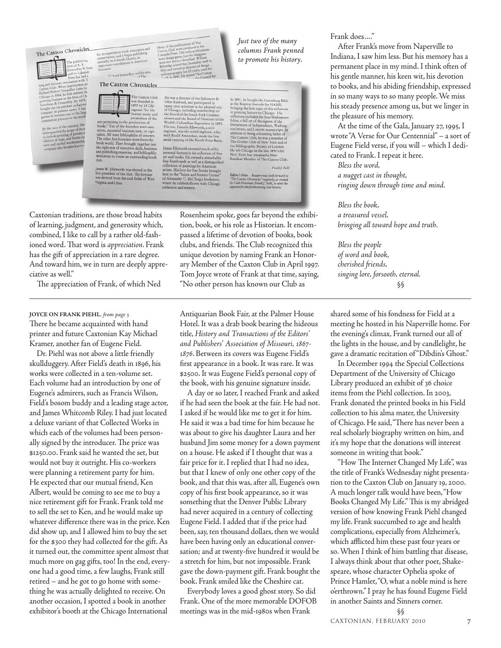The Caxton Chronicles

#### nichard Donnelley and his sor The Caxton Chronicles



arts pertaining to the production of<br>books." Ten of the founders were ex utives, successful business men, or capability and where bibliophiles of renow<br>The other five founders were from the The other ive tountains were from the<br>book world. They brought together just<br>the right mix of executive skills, business<br>dedication to create an outstanding book<br>duk-

James W. Ellsworth was elected as the<br>first president of the club. His fortune<br>was derived from the coal fields of Wes Virginia and Ohio

He was a director of the Baltimore & Ohio Railroad, and participated in the adverted in the pole of the characteristic and the solution of the Board of the South Park Commission is not shown to the Board of Directors of t

James Ellsworth invested much of his personal for<br>true is his collection of finis restricted by the set of the strength<br> $\hat{\mathbf{m}}$  and and books. He owned a remarkably are and tools<br>as well as a distinguishe collection of

*Just two of the many columns Frank penned to promote his history.*

In 1891, he bought the Gutenburg Bible at the Brayton Ives sale for \$14,000, binging the first copy of this milestones in printing history to Chicago. His collection included the four Shkeepsere follows a full test of the t Member of The Caxton Club

Note - Readers may look for<br>ton Chronicles" regularly, as<br>Historian, Frank J. Piebl, to u<br>or the forthcoming club histor Castor's Note<br>"The Caxton Chi<br>lry Club Historia

Frank J. Piek

Caxtonian traditions, are those broad habits of learning, judgment, and generosity which, combined, I like to call by a rather old-fashioned word. That word is *appreciation*. Frank has the gift of appreciation in a rare degree. And toward him, we in turn are deeply appreciative as well."

The appreciation of Frank, of which Ned

There he became acquainted with hand printer and future Caxtonian Kay Michael Kramer, another fan of Eugene Field. **JOYCE ON FRANK PIEHL***, from page 5*

Dr. Piehl was not above a little friendly skullduggery. After Field's death in 1896, his works were collected in a ten-volume set. Each volume had an introduction by one of Eugene's admirers, such as Francis Wilson, Field's bosom buddy and a leading stage actor, and James Whitcomb Riley. I had just located a deluxe variant of that Collected Works in which each of the volumes had been personally signed by the introducer. The price was \$1250.00. Frank said he wanted the set, but would not buy it outright. His co-workers were planning a retirement party for him. He expected that our mutual friend, Ken Albert, would be coming to see me to buy a nice retirement gift for Frank. Frank told me to sell the set to Ken, and he would make up whatever difference there was in the price. Ken did show up, and I allowed him to buy the set for the \$300 they had collected for the gift. As it turned out, the committee spent almost that much more on gag gifts, too! In the end, everyone had a good time, a few laughs, Frank still retired – and he got to go home with something he was actually delighted to receive. On another occasion, I spotted a book in another exhibitor's booth at the Chicago International

Rosenheim spoke, goes far beyond the exhibition, book, or his role as Historian. It encompassed a lifetime of devotion of books, book clubs, and friends. The Club recognized this unique devotion by naming Frank an Honorary Member of the Caxton Club in April 1997. Tom Joyce wrote of Frank at that time, saying, "No other person has known our Club as

Antiquarian Book Fair, at the Palmer House Hotel. It was a drab book bearing the hideous title, *History and Transactions of the Editors' and Publishers' Association of Missouri, 1867- 1876*. Between its covers was Eugene Field's first appearance in a book. It was rare. It was \$2500. It was Eugene Field's personal copy of the book, with his genuine signature inside.

A day or so later, I reached Frank and asked if he had seen the book at the fair. He had not. I asked if he would like me to get it for him. He said it was a bad time for him because he was about to give his daughter Laura and her husband Jim some money for a down payment on a house. He asked if I thought that was a fair price for it. I replied that I had no idea, but that I knew of only one other copy of the book, and that this was, after all, Eugene's own copy of his first book appearance, so it was something that the Denver Public Library had never acquired in a century of collecting Eugene Field. I added that if the price had been, say, ten thousand dollars, then we would have been having only an educational conversation; and at twenty-five hundred it would be a stretch for him, but not impossible. Frank gave the down-payment gift. Frank bought the book. Frank smiled like the Cheshire cat.

Everybody loves a good ghost story. So did Frank. One of the more memorable DOFOB meetings was in the mid-1980s when Frank

Frank does...."

After Frank's move from Naperville to Indiana, I saw him less. But his memory has a permanent place in my mind. I think often of his gentle manner, his keen wit, his devotion to books, and his abiding friendship, expressed in so many ways to so many people. We miss his steady presence among us, but we linger in the pleasure of his memory.

At the time of the Gala, January 27, 1995, I wrote "A Verse for Our Centennial" – a sort of Eugene Field verse, if you will – which I dedicated to Frank. I repeat it here.

*Bless the word, a nugget cast in thought, ringing down through time and mind.*

*Bless the book, a treasured vessel, bringing all toward hope and truth.*

*Bless the people of word and book, cherished friends, singing lore, forsooth, eternal.* §§

shared some of his fondness for Field at a meeting he hosted in his Naperville home. For the evening's climax, Frank turned out all of the lights in the house, and by candlelight, he gave a dramatic recitation of "Dibdin's Ghost."

In December 1994 the Special Collections Department of the University of Chicago Library produced an exhibit of 36 choice items from the Piehl collection. In 2003, Frank donated the printed books in his Field collection to his alma mater, the University of Chicago. He said, "There has never been a real scholarly biography written on him, and it's my hope that the donations will interest someone in writing that book."

"How The Internet Changed My Life", was the title of Frank's Wednesday night presentation to the Caxton Club on January 19, 2000. A much longer talk would have been, "How Books Changed My Life." This is my abridged version of how knowing Frank Piehl changed my life. Frank succumbed to age and health complications, especially from Alzheimer's, which afflicted him these past four years or so. When I think of him battling that disease, I always think about that other poet, Shakespeare, whose character Ophelia spoke of Prince Hamlet, "O, what a noble mind is here o'erthrown." I pray he has found Eugene Field in another Saints and Sinners corner.

§§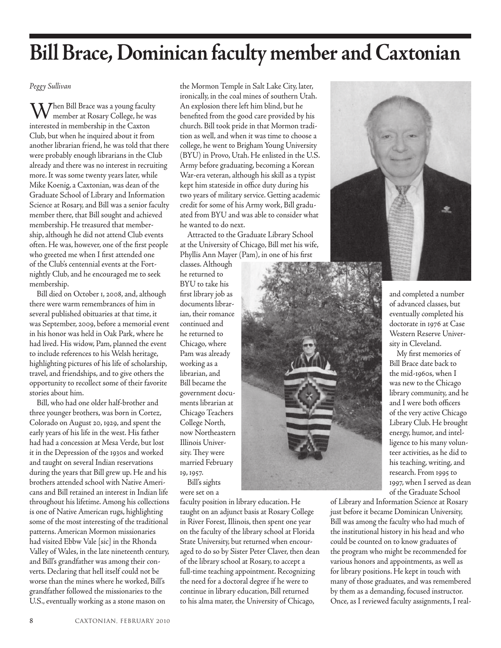# **Bill Brace, Dominican faculty member and Caxtonian**

*Peggy Sullivan*

 $\mathrm{W}$ hen Bill Brace was a young faculty member at Rosary College, he was interested in membership in the Caxton Club, but when he inquired about it from another librarian friend, he was told that there were probably enough librarians in the Club already and there was no interest in recruiting more. It was some twenty years later, while Mike Koenig, a Caxtonian, was dean of the Graduate School of Library and Information Science at Rosary, and Bill was a senior faculty member there, that Bill sought and achieved membership. He treasured that membership, although he did not attend Club events often. He was, however, one of the first people who greeted me when I first attended one of the Club's centennial events at the Fortnightly Club, and he encouraged me to seek membership.

Bill died on October 1, 2008, and, although there were warm remembrances of him in several published obituaries at that time, it was September, 2009, before a memorial event in his honor was held in Oak Park, where he had lived. His widow, Pam, planned the event to include references to his Welsh heritage, highlighting pictures of his life of scholarship, travel, and friendships, and to give others the opportunity to recollect some of their favorite stories about him.

Bill, who had one older half-brother and three younger brothers, was born in Cortez, Colorado on August 20, 1929, and spent the early years of his life in the west. His father had had a concession at Mesa Verde, but lost it in the Depression of the 1930s and worked and taught on several Indian reservations during the years that Bill grew up. He and his brothers attended school with Native Americans and Bill retained an interest in Indian life throughout his lifetime. Among his collections is one of Native American rugs, highlighting some of the most interesting of the traditional patterns. American Mormon missionaries had visited Ebbw Vale [sic] in the Rhonda Valley of Wales, in the late nineteenth century, and Bill's grandfather was among their converts. Declaring that hell itself could not be worse than the mines where he worked, Bill's grandfather followed the missionaries to the U.S., eventually working as a stone mason on

the Mormon Temple in Salt Lake City, later, ironically, in the coal mines of southern Utah. An explosion there left him blind, but he benefited from the good care provided by his church. Bill took pride in that Mormon tradition as well, and when it was time to choose a college, he went to Brigham Young University (BYU) in Provo, Utah. He enlisted in the U.S. Army before graduating, becoming a Korean War-era veteran, although his skill as a typist kept him stateside in office duty during his two years of military service. Getting academic credit for some of his Army work, Bill graduated from BYU and was able to consider what he wanted to do next.

Attracted to the Graduate Library School at the University of Chicago, Bill met his wife, Phyllis Ann Mayer (Pam), in one of his first

classes. Although he returned to BYU to take his first library job as documents librarian, their romance continued and he returned to Chicago, where Pam was already working as a librarian, and Bill became the government documents librarian at Chicago Teachers College North, now Northeastern Illinois University. They were married February 19, 1957. Bill's sights

were set on a

faculty position in library education. He taught on an adjunct basis at Rosary College in River Forest, Illinois, then spent one year on the faculty of the library school at Florida State University, but returned when encouraged to do so by Sister Peter Claver, then dean of the library school at Rosary, to accept a full-time teaching appointment. Recognizing the need for a doctoral degree if he were to continue in library education, Bill returned to his alma mater, the University of Chicago,





and completed a number of advanced classes, but eventually completed his doctorate in 1976 at Case Western Reserve University in Cleveland.

My first memories of Bill Brace date back to the mid-1960s, when I was new to the Chicago library community, and he and I were both officers of the very active Chicago Library Club. He brought energy, humor, and intelligence to his many volunteer activities, as he did to his teaching, writing, and research. From 1995 to 1997, when I served as dean of the Graduate School

of Library and Information Science at Rosary just before it became Dominican University, Bill was among the faculty who had much of the institutional history in his head and who could be counted on to know graduates of the program who might be recommended for various honors and appointments, as well as for library positions. He kept in touch with many of those graduates, and was remembered by them as a demanding, focused instructor. Once, as I reviewed faculty assignments, I real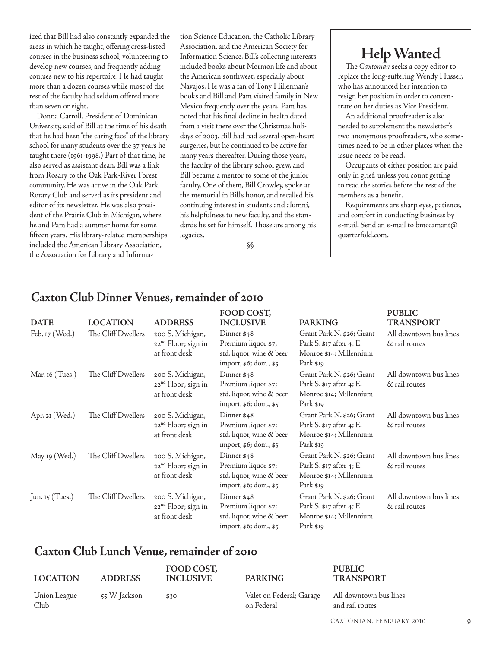ized that Bill had also constantly expanded the areas in which he taught, offering cross-listed courses in the business school, volunteering to develop new courses, and frequently adding courses new to his repertoire. He had taught more than a dozen courses while most of the rest of the faculty had seldom offered more than seven or eight.

Donna Carroll, President of Dominican University, said of Bill at the time of his death that he had been "the caring face" of the library school for many students over the 37 years he taught there (1961-1998.) Part of that time, he also served as assistant dean. Bill was a link from Rosary to the Oak Park-River Forest community. He was active in the Oak Park Rotary Club and served as its president and editor of its newsletter. He was also president of the Prairie Club in Michigan, where he and Pam had a summer home for some fifteen years. His library-related memberships included the American Library Association, the Association for Library and Information Science Education, the Catholic Library Association, and the American Society for Information Science. Bill's collecting interests included books about Mormon life and about the American southwest, especially about Navajos. He was a fan of Tony Hillerman's books and Bill and Pam visited family in New Mexico frequently over the years. Pam has noted that his final decline in health dated from a visit there over the Christmas holidays of 2003. Bill had had several open-heart surgeries, but he continued to be active for many years thereafter. During those years, the faculty of the library school grew, and Bill became a mentor to some of the junior faculty. One of them, Bill Crowley, spoke at the memorial in Bill's honor, and recalled his continuing interest in students and alumni, his helpfulness to new faculty, and the standards he set for himself. Those are among his legacies.

§§

# **Help Wanted**

The *Caxtonian* seeks a copy editor to replace the long-suffering Wendy Husser, who has announced her intention to resign her position in order to concentrate on her duties as Vice President.

An additional proofreader is also needed to supplement the newsletter's two anonymous proofreaders, who sometimes need to be in other places when the issue needs to be read.

Occupants of either position are paid only in grief, unless you count getting to read the stories before the rest of the members as a benefit.

Requirements are sharp eyes, patience, and comfort in conducting business by e-mail. Send an e-mail to bmccamant@ quarterfold.com.

| <b>DATE</b>     | <b>LOCATION</b>    | <b>ADDRESS</b>                                                       | FOOD COST,<br><b>INCLUSIVE</b>                                                           | <b>PARKING</b>                                                                                         | <b>PUBLIC</b><br><b>TRANSPORT</b>       |
|-----------------|--------------------|----------------------------------------------------------------------|------------------------------------------------------------------------------------------|--------------------------------------------------------------------------------------------------------|-----------------------------------------|
| Feb. 17 (Wed.)  | The Cliff Dwellers | 200 S. Michigan,<br>22 <sup>nd</sup> Floor; sign in<br>at front desk | Dinner \$48<br>Premium liquor \$7;<br>std. liquor, wine & beer<br>import, \$6; dom., \$5 | Grant Park N. \$26; Grant<br>Park S. \$17 after 4; E.<br>Monroe \$14; Millennium<br>Park \$19          | All downtown bus lines<br>& rail routes |
| Mar. 16 (Tues.) | The Cliff Dwellers | 200 S. Michigan,<br>22 <sup>nd</sup> Floor; sign in<br>at front desk | Dinner \$48<br>Premium liquor \$7;<br>std. liquor, wine & beer<br>import, \$6; dom., \$5 | Grant Park N. \$26; Grant<br>Park S. \$17 after 4; E.<br>Monroe \$14; Millennium<br>Park \$19          | All downtown bus lines<br>& rail routes |
| Apr. 21 (Wed.)  | The Cliff Dwellers | 200 S. Michigan,<br>22 <sup>nd</sup> Floor; sign in<br>at front desk | Dinner \$48<br>Premium liquor \$7;<br>std. liquor, wine & beer<br>import, \$6; dom., \$5 | Grant Park N. \$26; Grant<br>Park S. \$17 after 4; E.<br>Monroe \$14; Millennium<br>Park \$19          | All downtown bus lines<br>& rail routes |
| May 19 (Wed.)   | The Cliff Dwellers | 200 S. Michigan,<br>22 <sup>nd</sup> Floor; sign in<br>at front desk | Dinner \$48<br>Premium liquor \$7;<br>std. liquor, wine & beer<br>import, \$6; dom., \$5 | Grant Park N. \$26; Grant<br>Park S. \$17 after 4; E.<br>Monroe \$14; Millennium<br>Park \$19          | All downtown bus lines<br>& rail routes |
| Jun. 15 (Tues.) | The Cliff Dwellers | 200 S. Michigan,<br>22 <sup>nd</sup> Floor; sign in<br>at front desk | Dinner \$48<br>Premium liquor \$7;<br>std. liquor, wine & beer<br>import, \$6; dom., \$5 | Grant Park N. \$26; Grant<br>Park S. $\text{\$17}$ after 4; E.<br>Monroe \$14; Millennium<br>Park \$19 | All downtown bus lines<br>& rail routes |

# **Caxton Club Dinner Venues, remainder of 2010**

# **Caxton Club Lunch Venue, remainder of 2010**

| <b>LOCATION</b>      | <b>ADDRESS</b> | FOOD COST,<br><b>INCLUSIVE</b> | <b>PARKING</b>                                                | <b>PUBLIC</b><br><b>TRANSPORT</b> |
|----------------------|----------------|--------------------------------|---------------------------------------------------------------|-----------------------------------|
| Union League<br>Club | 55 W. Jackson  | \$30                           | Valet on Federal; Garage All downtown bus lines<br>on Federal | and rail routes                   |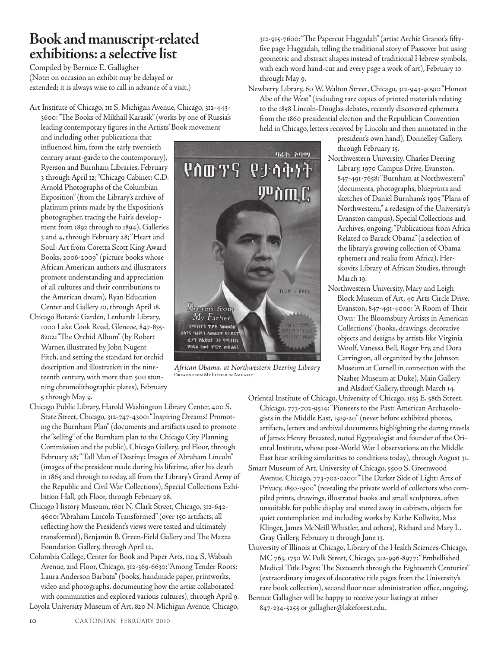# **Book and manuscript-related exhibitions: a selective list**

Compiled by Bernice E. Gallagher (Note: on occasion an exhibit may be delayed or extended; it is always wise to call in advance of a visit.)

Art Institute of Chicago, 111 S. Michigan Avenue, Chicago, 312-443- 3600: "The Books of Mikhail Karasik" (works by one of Russia's leading contemporary figures in the Artists' Book movement

and including other publications that influenced him, from the early twentieth century avant-garde to the contemporary), Ryerson and Burnham Libraries, February 3 through April 12; "Chicago Cabinet: C.D. Arnold Photographs of the Columbian Exposition" (from the Library's archive of platinum prints made by the Exposition's photographer, tracing the Fair's development from 1892 through to 1894), Galleries 3 and 4, through February 28; "Heart and Soul: Art from Coretta Scott King Award Books, 2006-2009" (picture books whose African American authors and illustrators promote understanding and appreciation of all cultures and their contributions to the American dream), Ryan Education Center and Gallery 10, through April 18.

- Chicago Botanic Garden, Lenhardt Library, 1000 Lake Cook Road, Glencoe, 847-835- 8202: "The Orchid Album" (by Robert Warner, illustrated by John Nugent Fitch, and setting the standard for orchid description and illustration in the nineteenth century, with more than 500 stunning chromolithographic plates), February 5 through May 9.
- Chicago Public Library, Harold Washington Library Center, 400 S. State Street, Chicago, 312-747-4300: "Inspiring Dreams! Promoting the Burnham Plan" (documents and artifacts used to promote the "selling" of the Burnham plan to the Chicago City Planning Commission and the public), Chicago Gallery, 3rd Floor, through February 28; "Tall Man of Destiny: Images of Abraham Lincoln" (images of the president made during his lifetime, after his death in 1865 and through to today, all from the Library's Grand Army of the Republic and Civil War Collections), Special Collections Exhibition Hall, 9th Floor, through February 28.
- Chicago History Museum, 1601 N. Clark Street, Chicago, 312-642- 4600: "Abraham Lincoln Transformed" (over 150 artifacts, all reflecting how the President's views were tested and ultimately transformed), Benjamin B. Green-Field Gallery and The Mazza Foundation Gallery, through April 12.
- Columbia College, Center for Book and Paper Arts, 1104 S. Wabash Avenue, 2nd Floor, Chicago, 312-369-6630: "Among Tender Roots: Laura Anderson Barbata" (books, handmade paper, printworks, video and photographs, documenting how the artist collaborated with communities and explored various cultures), through April 9. Loyola University Museum of Art, 820 N. Michigan Avenue, Chicago,



*African Obama, at Northwestern Deering Library*  Dreams from My Father in Amharic

312-915-7600: "The Papercut Haggadah" (artist Archie Granot's fiftyfive page Haggadah, telling the traditional story of Passover but using geometric and abstract shapes instead of traditional Hebrew symbols, with each word hand-cut and every page a work of art), February 10 through May 9.

Newberry Library, 60 W. Walton Street, Chicago, 312-943-9090: "Honest Abe of the West" (including rare copies of printed materials relating to the 1858 Lincoln-Douglas debates, recently discovered ephemera from the 1860 presidential election and the Republican Convention held in Chicago, letters received by Lincoln and then annotated in the

president's own hand), Donnelley Gallery, through February 15.

- Northwestern University, Charles Deering Library, 1970 Campus Drive, Evanston, 847-491-7658: "Burnham at Northwestern" (documents, photographs, blueprints and sketches of Daniel Burnham's 1905 "Plans of Northwestern," a redesign of the University's Evanston campus), Special Collections and Archives, ongoing; "Publications from Africa Related to Barack Obama" (a selection of the library's growing collection of Obama ephemera and realia from Africa), Herskovits Library of African Studies, through March 19.
- Northwestern University, Mary and Leigh Block Museum of Art, 40 Arts Circle Drive, Evanston, 847-491-4000: "A Room of Their Own: The Bloomsbury Artists in American Collections" (books, drawings, decorative objects and designs by artists like Virginia Woolf, Vanessa Bell, Roger Fry, and Dora Carrington, all organized by the Johnson Museum at Cornell in connection with the Nasher Museum at Duke), Main Gallery and Alsdorf Gallery, through March 14.

Oriental Institute of Chicago, University of Chicago, 1155 E. 58th Street, Chicago, 773-702-9514: "Pioneers to the Past: American Archaeologists in the Middle East, 1919-20" (never before exhibited photos, artifacts, letters and archival documents highlighting the daring travels of James Henry Breasted, noted Egyptologist and founder of the Oriental Institute, whose post-World War I observations on the Middle East bear striking similarities to conditions today), through August 31.

- Smart Museum of Art, University of Chicago, 5500 S. Greenwood Avenue, Chicago, 773-702-0200: "The Darker Side of Light: Arts of Privacy, 1850-1900" (revealing the private world of collectors who compiled prints, drawings, illustrated books and small sculptures, often unsuitable for public display and stored away in cabinets, objects for quiet contemplation and including works by Kathe Kollwitz, Max Klinger, James McNeill Whistler, and others), Richard and Mary L. Gray Gallery, February 11 through June 13.
- University of Illinois at Chicago, Library of the Health Sciences-Chicago, MC 763, 1750 W. Polk Street, Chicago, 312-996-8977: "Embellished Medical Title Pages: The Sixteenth through the Eighteenth Centuries" (extraordinary images of decorative title pages from the University's rare book collection), second floor near administration office, ongoing. Bernice Gallagher will be happy to receive your listings at either

847-234-5255 or gallagher@lakeforest.edu.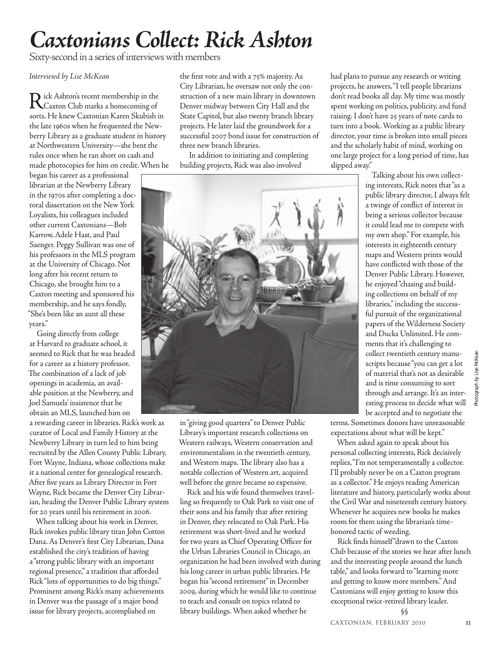# *Caxtonians Collect: Rick Ashton*

Sixty-second in a series of interviews with members

*Interviewd by Lise McKean*

Rick Ashton's recent membership in the Caxton Club marks a homecoming of sorts. He knew Caxtonian Karen Skubish in the late 1960s when he frequented the Newberry Library as a graduate student in history at Northwestern University—she bent the rules once when he ran short on cash and made photocopies for him on credit. When he

began his career as a professional librarian at the Newberry Library in the 1970s after completing a doctoral dissertation on the New York Loyalists, his colleagues included other current Caxtonians—Bob Karrow, Adele Hast, and Paul Saenger. Peggy Sullivan was one of his professors in the MLS program at the University of Chicago. Not long after his recent return to Chicago, she brought him to a Caxton meeting and sponsored his membership, and he says fondly, "She's been like an aunt all these years."

Going directly from college at Harvard to graduate school, it seemed to Rick that he was headed for a career as a history professor. The combination of a lack of job openings in academia, an available position at the Newberry, and Joel Samuels' insistence that he obtain an MLS, launched him on

a rewarding career in libraries. Rick's work as curator of Local and Family History at the Newberry Library in turn led to him being recruited by the Allen County Public Library, Fort Wayne, Indiana, whose collections make it a national center for genealogical research. After five years as Library Director in Fort Wayne, Rick became the Denver City Librarian, heading the Denver Public Library system for 20 years until his retirement in 2006.

When talking about his work in Denver, Rick invokes public library titan John Cotton Dana. As Denver's first City Librarian, Dana established the city's tradition of having a "strong public library with an important regional presence," a tradition that afforded Rick "lots of opportunities to do big things." Prominent among Rick's many achievements in Denver was the passage of a major bond issue for library projects, accomplished on

the first vote and with a 75% majority. As City Librarian, he oversaw not only the construction of a new main library in downtown Denver midway between City Hall and the State Capitol, but also twenty branch library projects. He later laid the groundwork for a successful 2007 bond issue for construction of three new branch libraries.

 In addition to initiating and completing building projects, Rick was also involved



in "giving good quarters" to Denver Public Library's important research collections on Western railways, Western conservation and environmentalism in the twentieth century, and Western maps. The library also has a notable collection of Western art, acquired well before the genre became so expensive.

Rick and his wife found themselves travelling so frequently to Oak Park to visit one of their sons and his family that after retiring in Denver, they relocated to Oak Park. His retirement was short-lived and he worked for two years as Chief Operating Officer for the Urban Libraries Council in Chicago, an organization he had been involved with during his long career in urban public libraries. He began his "second retirement" in December 2009, during which he would like to continue to teach and consult on topics related to library buildings. When asked whether he

had plans to pursue any research or writing projects, he answers, "I tell people librarians don't read books all day. My time was mostly spent working on politics, publicity, and fund raising. I don't have 25 years of note cards to turn into a book. Working as a public library director, your time is broken into small pieces and the scholarly habit of mind, working on one large project for a long period of time, has slipped away."

Talking about his own collecting interests, Rick notes that "as a public library director, I always felt a twinge of conflict of interest in being a serious collector because it could lead me to compete with my own shop." For example, his interests in eighteenth century maps and Western prints would have conflicted with those of the Denver Public Library. However, he enjoyed "chasing and building collections on behalf of my libraries," including the successful pursuit of the organizational papers of the Wilderness Society and Ducks Unlimited. He comments that it's challenging to collect twentieth century manuscripts because "you can get a lot of material that's not as desirable and is time consuming to sort through and arrange. It's an interesting process to decide what will be accepted and to negotiate the

terms. Sometimes donors have unreasonable expectations about what will be kept."

When asked again to speak about his personal collecting interests, Rick decisively replies, "I'm not temperamentally a collector. I'll probably never be on a Caxton program as a collector." He enjoys reading American literature and history, particularly works about the Civil War and nineteenth century history. Whenever he acquires new books he makes room for them using the librarian's timehonored tactic of weeding.

Rick finds himself "drawn to the Caxton Club because of the stories we hear after lunch and the interesting people around the lunch table," and looks forward to "learning more and getting to know more members." And Caxtonians will enjoy getting to know this exceptional twice-retired library leader.

Photograph by Lise McKean

by Lise McKear